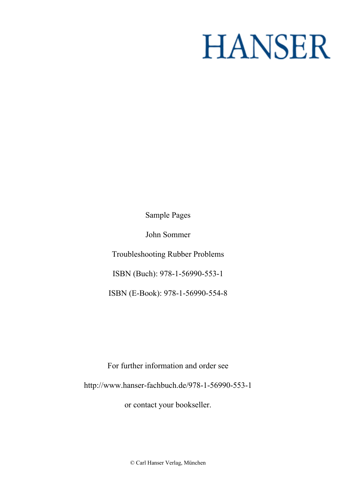# **HANSER**

**Sample Pages**

**John Sommer**

**Troubleshooting Rubber Problems**

**ISBN (Buch): 978-1-56990-553-1**

**ISBN (E-Book): 978-1-56990-554-8**

**For further information and order see <http://www.hanser-fachbuch.de/978-1-56990-553-1>**

**or contact your bookseller.**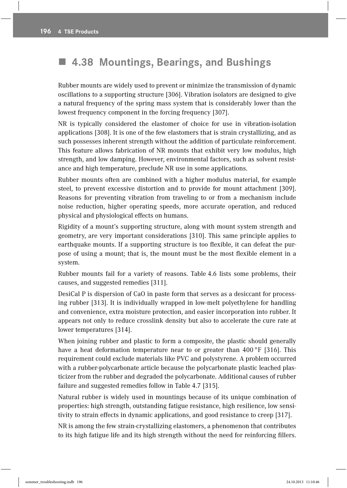# ! **4.38 Mountings, Bearings, and Bushings**

Rubber mounts are widely used to prevent or minimize the transmission of dynamic oscillations to a supporting structure [306]. Vibration isolators are designed to give a natural frequency of the spring mass system that is considerably lower than the lowest frequency component in the forcing frequency [307].

NR is typically considered the elastomer of choice for use in vibration-isolation applications [308]. It is one of the few elastomers that is strain crystallizing, and as such possesses inherent strength without the addition of particulate reinforcement. This feature allows fabrication of NR mounts that exhibit very low modulus, high strength, and low damping. However, environmental factors, such as solvent resistance and high temperature, preclude NR use in some applications.

Rubber mounts often are combined with a higher modulus material, for example steel, to prevent excessive distortion and to provide for mount attachment [309]. Reasons for preventing vibration from traveling to or from a mechanism include noise reduction, higher operating speeds, more accurate operation, and reduced physical and physiological effects on humans.

Rigidity of a mount's supporting structure, along with mount system strength and geometry, are very important considerations [310]. This same principle applies to earthquake mounts. If a supporting structure is too flexible, it can defeat the purpose of using a mount; that is, the mount must be the most flexible element in a system.

Rubber mounts fail for a variety of reasons. Table 4.6 lists some problems, their causes, and suggested remedies [311].

DesiCal P is dispersion of CaO in paste form that serves as a desiccant for processing rubber [313]. It is individually wrapped in low-melt polyethylene for handling and convenience, extra moisture protection, and easier incorporation into rubber. It appears not only to reduce crosslink density but also to accelerate the cure rate at lower temperatures [314].

 When joining rubber and plastic to form a composite, the plastic should generally have a heat deformation temperature near to or greater than 400 °F [316]. This requirement could exclude materials like PVC and polystyrene. A problem occurred with a rubber-polycarbonate article because the polycarbonate plastic leached plasticizer from the rubber and degraded the polycarbonate. Additional causes of rubber failure and suggested remedies follow in Table 4.7 [315].

Natural rubber is widely used in mountings because of its unique combination of properties: high strength, outstanding fatigue resistance, high resilience, low sensitivity to strain effects in dynamic applications, and good resistance to creep [317].

NR is among the few strain-crystallizing elastomers, a phenomenon that contributes to its high fatigue life and its high strength without the need for reinforcing fillers.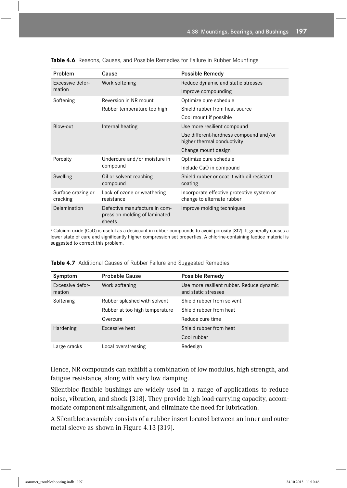| Problem                        | Cause                                                                    | Possible Remedy                                                          |
|--------------------------------|--------------------------------------------------------------------------|--------------------------------------------------------------------------|
| Excessive defor-<br>mation     | Work softening                                                           | Reduce dynamic and static stresses                                       |
|                                |                                                                          | Improve compounding                                                      |
| Softening                      | Reversion in NR mount                                                    | Optimize cure schedule                                                   |
|                                | Rubber temperature too high                                              | Shield rubber from heat source                                           |
|                                |                                                                          | Cool mount if possible                                                   |
| Blow-out                       | Internal heating                                                         | Use more resilient compound                                              |
|                                |                                                                          | Use different-hardness compound and/or<br>higher thermal conductivity    |
|                                |                                                                          | Change mount design                                                      |
| Porosity                       | Undercure and/or moisture in<br>compound                                 | Optimize cure schedule                                                   |
|                                |                                                                          | Include CaO in compound                                                  |
| Swelling                       | Oil or solvent reaching<br>compound                                      | Shield rubber or coat it with oil-resistant<br>coating                   |
| Surface crazing or<br>cracking | Lack of ozone or weathering<br>resistance                                | Incorporate effective protective system or<br>change to alternate rubber |
| Delamination                   | Defective manufacture in com-<br>pression molding of laminated<br>sheets | Improve molding techniques                                               |

**Table 4.6** Reasons, Causes, and Possible Remedies for Failure in Rubber Mountings

a Calcium oxide (CaO) is useful as a desiccant in rubber compounds to avoid porosity [312]. It generally causes a lower state of cure and significantly higher compression set properties. A chlorine-containing factice material is suggested to correct this problem.

| Symptom                    | <b>Probable Cause</b>          | Possible Remedy                                                  |
|----------------------------|--------------------------------|------------------------------------------------------------------|
| Excessive defor-<br>mation | Work softening                 | Use more resilient rubber. Reduce dynamic<br>and static stresses |
| Softening                  | Rubber splashed with solvent   | Shield rubber from solvent                                       |
|                            | Rubber at too high temperature | Shield rubber from heat                                          |
|                            | Overcure                       | Reduce cure time                                                 |
| Hardening                  | Excessive heat                 | Shield rubber from heat                                          |
|                            |                                | Cool rubber                                                      |
| Large cracks               | Local overstressing            | Redesign                                                         |

**Table 4.7** Additional Causes of Rubber Failure and Suggested Remedies

Hence, NR compounds can exhibit a combination of low modulus, high strength, and fatigue resistance, along with very low damping.

Silentbloc flexible bushings are widely used in a range of applications to reduce noise, vibration, and shock [318]. They provide high load-carrying capacity, accommodate component misalignment, and eliminate the need for lubrication.

A Silentbloc assembly consists of a rubber insert located between an inner and outer metal sleeve as shown in Figure 4.13 [319].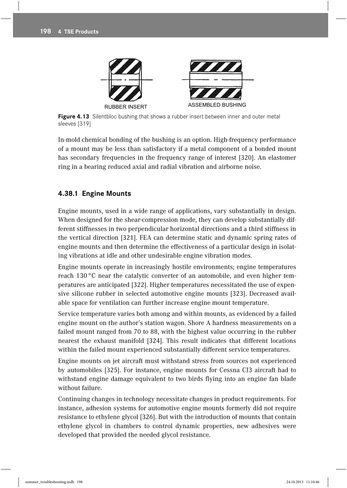

Figure 4.13 Silentbloc bushing that shows a rubber insert between inner and outer metal sleeves [319]

In-mold chemical bonding of the bushing is an option. High-frequency performance of a mount may be less than satisfactory if a metal component of a bonded mount has secondary frequencies in the frequency range of interest [320]. An elastomer ring in a bearing reduced axial and radial vibration and airborne noise.

## **4.38.1 Engine Mounts**

 Engine mounts, used in a wide range of applications, vary substantially in design. When designed for the shear-compression mode, they can develop substantially different stiffnesses in two perpendicular horizontal directions and a third stiffness in the vertical direction [321]. FEA can determine static and dynamic spring rates of engine mounts and then determine the effectiveness of a particular design in isolating vibrations at idle and other undesirable engine vibration modes.

Engine mounts operate in increasingly hostile environments; engine temperatures reach 130 °C near the catalytic converter of an automobile, and even higher temperatures are anticipated [322]. Higher temperatures necessitated the use of expensive silicone rubber in selected automotive engine mounts [323]. Decreased available space for ventilation can further increase engine mount temperature.

 Service temperature varies both among and within mounts, as evidenced by a failed engine mount on the author's station wagon. Shore A hardness measurements on a failed mount ranged from 70 to 88, with the highest value occurring in the rubber nearest the exhaust manifold [324]. This result indicates that different locations within the failed mount experienced substantially different service temperatures.

Engine mounts on jet aircraft must withstand stress from sources not experienced by automobiles [325]. For instance, engine mounts for Cessna CJ3 aircraî had to withstand engine damage equivalent to two birds flying into an engine fan blade without failure.

Continuing changes in technology necessitate changes in product requirements. For instance, adhesion systems for automotive engine mounts formerly did not require resistance to ethylene glycol [326]. But with the introduction of mounts that contain ethylene glycol in chambers to control dynamic properties, new adhesives were developed that provided the needed glycol resistance.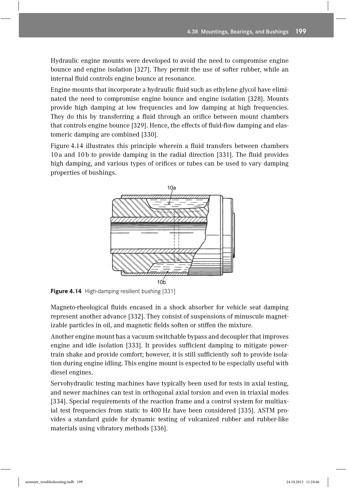Hydraulic engine mounts were developed to avoid the need to compromise engine bounce and engine isolation [327]. They permit the use of softer rubber, while an internal fluid controls engine bounce at resonance.

Engine mounts that incorporate a hydraulic fluid such as ethylene glycol have eliminated the need to compromise engine bounce and engine isolation [328]. Mounts provide high damping at low frequencies and low damping at high frequencies. They do this by transferring a fluid through an orifice between mount chambers that controls engine bounce [329]. Hence, the effects of fluid-flow damping and elastomeric damping are combined [330].

Figure 4.14 illustrates this principle wherein a fluid transfers between chambers 10a and 10b to provide damping in the radial direction [331]. The fluid provides high damping, and various types of orifices or tubes can be used to vary damping properties of bushings.



**Figure 4.14** High-damping resilient bushing [331]

Magneto-rheological fluids encased in a shock absorber for vehicle seat damping represent another advance [332]. They consist of suspensions of minuscule magnetizable particles in oil, and magnetic fields soften or stiffen the mixture.

Another engine mount has a vacuum switchable bypass and decoupler that improves engine and idle isolation [333]. It provides sufficient damping to mitigate powertrain shake and provide comfort; however, it is still sufficiently soft to provide isolation during engine idling. This engine mount is expected to be especially useful with diesel engines.

Servohydraulic testing machines have typically been used for tests in axial testing, and newer machines can test in orthogonal axial torsion and even in triaxial modes [334]. Special requirements of the reaction frame and a control system for multiaxial test frequencies from static to 400 Hz have been considered [335]. ASTM provides a standard guide for dynamic testing of vulcanized rubber and rubber-like materials using vibratory methods [336].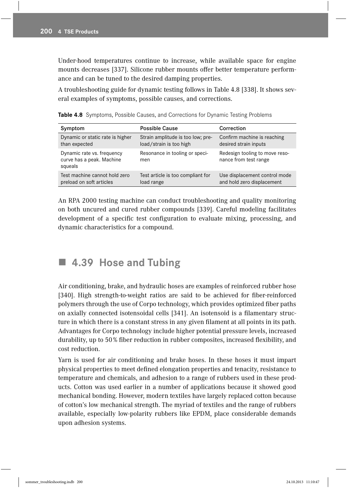Under-hood temperatures continue to increase, while available space for engine mounts decreases [337]. Silicone rubber mounts offer better temperature performance and can be tuned to the desired damping properties.

A troubleshooting guide for dynamic testing follows in Table 4.8 [338]. It shows several examples of symptoms, possible causes, and corrections.

| Symptom                                                            | <b>Possible Cause</b>                                        | Correction                                                  |
|--------------------------------------------------------------------|--------------------------------------------------------------|-------------------------------------------------------------|
| Dynamic or static rate is higher<br>than expected                  | Strain amplitude is too low; pre-<br>load/strain is too high | Confirm machine is reaching<br>desired strain inputs        |
| Dynamic rate vs. frequency<br>curve has a peak. Machine<br>squeals | Resonance in tooling or speci-<br>men                        | Redesign tooling to move reso-<br>nance from test range     |
| Test machine cannot hold zero<br>preload on soft articles          | Test article is too compliant for<br>load range              | Use displacement control mode<br>and hold zero displacement |

**Table 4.8** Symptoms, Possible Causes, and Corrections for Dynamic Testing Problems

An RPA 2000 testing machine can conduct troubleshooting and quality monitoring on both uncured and cured rubber compounds [339]. Careful modeling facilitates development of a specific test configuration to evaluate mixing, processing, and dynamic characteristics for a compound.

# ! **4.39 Hose and Tubing**

Air conditioning, brake, and hydraulic hoses are examples of reinforced rubber hose [340]. High strength-to-weight ratios are said to be achieved for fiber-reinforced polymers through the use of Corpo technology, which provides optimized fiber paths on axially connected isotensoidal cells [341]. An isotensoid is a filamentary structure in which there is a constant stress in any given filament at all points in its path. Advantages for Corpo technology include higher potential pressure levels, increased durability, up to 50% fiber reduction in rubber composites, increased flexibility, and cost reduction.

Yarn is used for air conditioning and brake hoses. In these hoses it must impart physical properties to meet defined elongation properties and tenacity, resistance to temperature and chemicals, and adhesion to a range of rubbers used in these products. Cotton was used earlier in a number of applications because it showed good mechanical bonding. However, modern textiles have largely replaced cotton because of cotton's low mechanical strength. The myriad of textiles and the range of rubbers available, especially low-polarity rubbers like EPDM, place considerable demands upon adhesion systems.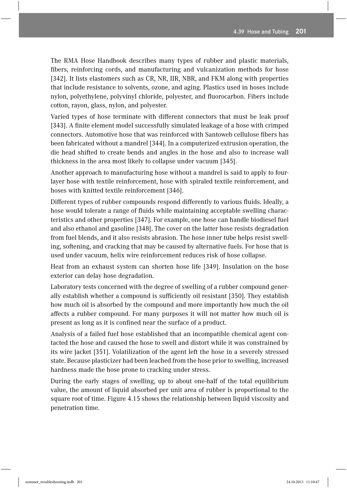The RMA Hose Handbook describes many types of rubber and plastic materials, fibers, reinforcing cords, and manufacturing and vulcanization methods for hose [342]. It lists elastomers such as CR, NR, IIR, NBR, and FKM along with properties that include resistance to solvents, ozone, and aging. Plastics used in hoses include nylon, polyethylene, polyvinyl chloride, polyester, and fluorocarbon. Fibers include cotton, rayon, glass, nylon, and polyester.

Varied types of hose terminate with different connectors that must be leak proof [343]. A finite element model successfully simulated leakage of a hose with crimped connectors. Automotive hose that was reinforced with Santoweb cellulose fibers has been fabricated without a mandrel [344]. In a computerized extrusion operation, the die head shifted to create bends and angles in the hose and also to increase wall thickness in the area most likely to collapse under vacuum [345].

Another approach to manufacturing hose without a mandrel is said to apply to fourlayer hose with textile reinforcement, hose with spiraled textile reinforcement, and hoses with knitted textile reinforcement [346].

Different types of rubber compounds respond differently to various fluids. Ideally, a hose would tolerate a range of fluids while maintaining acceptable swelling characteristics and other properties [347]. For example, one hose can handle biodiesel fuel and also ethanol and gasoline [348]. The cover on the latter hose resists degradation from fuel blends, and it also resists abrasion. The hose inner tube helps resist swelling, softening, and cracking that may be caused by alternative fuels. For hose that is used under vacuum, helix wire reinforcement reduces risk of hose collapse.

Heat from an exhaust system can shorten hose life [349]. Insulation on the hose exterior can delay hose degradation.

Laboratory tests concerned with the degree of swelling of a rubber compound generally establish whether a compound is sufficiently oil resistant [350]. They establish how much oil is absorbed by the compound and more importantly how much the oil affects a rubber compound. For many purposes it will not matter how much oil is present as long as it is confined near the surface of a product.

Analysis of a failed fuel hose established that an incompatible chemical agent contacted the hose and caused the hose to swell and distort while it was constrained by its wire jacket [351]. Volatilization of the agent left the hose in a severely stressed state. Because plasticizer had been leached from the hose prior to swelling, increased hardness made the hose prone to cracking under stress.

During the early stages of swelling, up to about one-half of the total equilibrium value, the amount of liquid absorbed per unit area of rubber is proportional to the square root of time. Figure 4.15 shows the relationship between liquid viscosity and penetration time.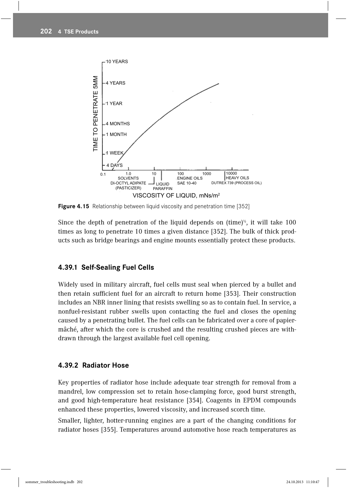

**Figure 4.15** Relationship between liquid viscosity and penetration time [352]

Since the depth of penetration of the liquid depends on (time)<sup> $\frac{1}{2}$ </sup>, it will take 100 times as long to penetrate 10 times a given distance [352]. The bulk of thick products such as bridge bearings and engine mounts essentially protect these products.

#### **4.39.1 Self-Sealing Fuel Cells**

Widely used in military aircraft, fuel cells must seal when pierced by a bullet and then retain sufficient fuel for an aircraft to return home [353]. Their construction includes an NBR inner lining that resists swelling so as to contain fuel. In service, a nonfuel-resistant rubber swells upon contacting the fuel and closes the opening caused by a penetrating bullet. The fuel cells can be fabricated over a core of papiermâché, after which the core is crushed and the resulting crushed pieces are withdrawn through the largest available fuel cell opening.

#### **4.39.2 Radiator Hose**

Key properties of radiator hose include adequate tear strength for removal from a mandrel, low compression set to retain hose-clamping force, good burst strength, and good high-temperature heat resistance [354]. Coagents in EPDM compounds enhanced these properties, lowered viscosity, and increased scorch time.

Smaller, lighter, hotter-running engines are a part of the changing conditions for radiator hoses [355]. Temperatures around automotive hose reach temperatures as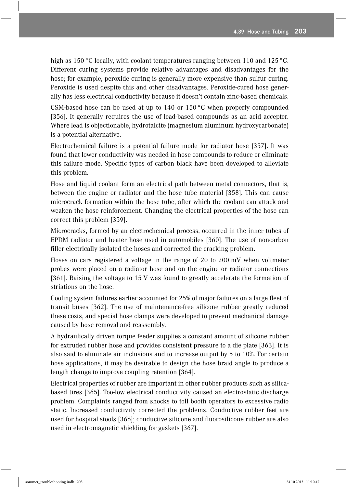high as 150 °C locally, with coolant temperatures ranging between 110 and 125 °C. Different curing systems provide relative advantages and disadvantages for the hose; for example, peroxide curing is generally more expensive than sulfur curing. Peroxide is used despite this and other disadvantages. Peroxide-cured hose generally has less electrical conductivity because it doesn't contain zinc-based chemicals.

CSM-based hose can be used at up to 140 or  $150^{\circ}$ C when properly compounded [356]. It generally requires the use of lead-based compounds as an acid accepter. Where lead is objectionable, hydrotalcite (magnesium aluminum hydroxycarbonate) is a potential alternative.

 Electrochemical failure is a potential failure mode for radiator hose [357]. It was found that lower conductivity was needed in hose compounds to reduce or eliminate this failure mode. Specific types of carbon black have been developed to alleviate this problem.

Hose and liquid coolant form an electrical path between metal connectors, that is, between the engine or radiator and the hose tube material [358]. This can cause microcrack formation within the hose tube, after which the coolant can attack and weaken the hose reinforcement. Changing the electrical properties of the hose can correct this problem [359].

Microcracks, formed by an electrochemical process, occurred in the inner tubes of EPDM radiator and heater hose used in automobiles [360]. The use of noncarbon filler electrically isolated the hoses and corrected the cracking problem.

Hoses on cars registered a voltage in the range of 20 to 200 mV when voltmeter probes were placed on a radiator hose and on the engine or radiator connections [361]. Raising the voltage to 15 V was found to greatly accelerate the formation of striations on the hose.

Cooling system failures earlier accounted for 25% of major failures on a large fleet of transit buses [362]. The use of maintenance-free silicone rubber greatly reduced these costs, and special hose clamps were developed to prevent mechanical damage caused by hose removal and reassembly.

A hydraulically driven torque feeder supplies a constant amount of silicone rubber for extruded rubber hose and provides consistent pressure to a die plate [363]. It is also said to eliminate air inclusions and to increase output by 5 to 10%. For certain hose applications, it may be desirable to design the hose braid angle to produce a length change to improve coupling retention [364].

 Electrical properties of rubber are important in other rubber products such as silicabased tires [365]. Too-low electrical conductivity caused an electrostatic discharge problem. Complaints ranged from shocks to toll booth operators to excessive radio static. Increased conductivity corrected the problems. Conductive rubber feet are used for hospital stools [366]; conductive silicone and fluorosilicone rubber are also used in electromagnetic shielding for gaskets [367].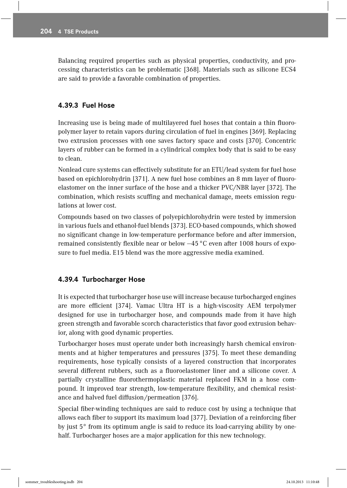Balancing required properties such as physical properties, conductivity, and processing characteristics can be problematic [368]. Materials such as silicone ECS4 are said to provide a favorable combination of properties.

## **4.39.3 Fuel Hose**

Increasing use is being made of multilayered fuel hoses that contain a thin fluoropolymer layer to retain vapors during circulation of fuel in engines [369]. Replacing two extrusion processes with one saves factory space and costs [370]. Concentric layers of rubber can be formed in a cylindrical complex body that is said to be easy to clean.

Nonlead cure systems can effectively substitute for an ETU/lead system for fuel hose based on epichlorohydrin [371]. A new fuel hose combines an 8 mm layer of fluoroelastomer on the inner surface of the hose and a thicker PVC/NBR layer [372]. The combination, which resists scuffing and mechanical damage, meets emission regulations at lower cost.

Compounds based on two classes of polyepichlorohydrin were tested by immersion in various fuels and ethanol-fuel blends [373]. ECO-based compounds, which showed no significant change in low-temperature performance before and after immersion, remained consistently flexible near or below  $-45^{\circ}$ C even after 1008 hours of exposure to fuel media. E15 blend was the more aggressive media examined.

## **4.39.4 Turbocharger Hose**

It is expected that turbocharger hose use will increase because turbocharged engines are more efficient [374]. Vamac Ultra HT is a high-viscosity AEM terpolymer designed for use in turbocharger hose, and compounds made from it have high green strength and favorable scorch characteristics that favor good extrusion behavior, along with good dynamic properties.

 Turbocharger hoses must operate under both increasingly harsh chemical environments and at higher temperatures and pressures [375]. To meet these demanding requirements, hose typically consists of a layered construction that incorporates several different rubbers, such as a fluoroelastomer liner and a silicone cover. A partially crystalline fluorothermoplastic material replaced FKM in a hose compound. It improved tear strength, low-temperature flexibility, and chemical resistance and halved fuel diffusion/permeation [376].

Special fiber-winding techniques are said to reduce cost by using a technique that allows each fiber to support its maximum load [377]. Deviation of a reinforcing fiber by just 5° from its optimum angle is said to reduce its load-carrying ability by onehalf. Turbocharger hoses are a major application for this new technology.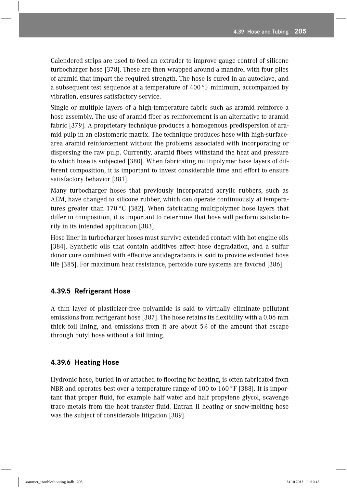Calendered strips are used to feed an extruder to improve gauge control of silicone turbocharger hose [378]. These are then wrapped around a mandrel with four plies of aramid that impart the required strength. The hose is cured in an autoclave, and a subsequent test sequence at a temperature of 400 °F minimum, accompanied by vibration, ensures satisfactory service.

Single or multiple layers of a high-temperature fabric such as aramid reinforce a hose assembly. The use of aramid fiber as reinforcement is an alternative to aramid fabric [379]. A proprietary technique produces a homogenous predispersion of aramid pulp in an elastomeric matrix. The technique produces hose with high-surfacearea aramid reinforcement without the problems associated with incorporating or dispersing the raw pulp. Currently, aramid fibers withstand the heat and pressure to which hose is subjected [380]. When fabricating multipolymer hose layers of different composition, it is important to invest considerable time and effort to ensure satisfactory behavior [381].

Many turbocharger hoses that previously incorporated acrylic rubbers, such as AEM, have changed to silicone rubber, which can operate continuously at temperatures greater than 170 °C [382]. When fabricating multipolymer hose layers that differ in composition, it is important to determine that hose will perform satisfactorily in its intended application [383].

Hose liner in turbocharger hoses must survive extended contact with hot engine oils [384]. Synthetic oils that contain additives affect hose degradation, and a sulfur donor cure combined with effective antidegradants is said to provide extended hose life [385]. For maximum heat resistance, peroxide cure systems are favored [386].

#### **4.39.5 Refrigerant Hose**

A thin layer of plasticizer-free polyamide is said to virtually eliminate pollutant emissions from refrigerant hose [387]. The hose retains its flexibility with a 0.06 mm thick foil lining, and emissions from it are about 5% of the amount that escape through butyl hose without a foil lining.

#### **4.39.6 Heating Hose**

Hydronic hose, buried in or attached to flooring for heating, is often fabricated from NBR and operates best over a temperature range of 100 to 160 °F [388]. It is important that proper fluid, for example half water and half propylene glycol, scavenge trace metals from the heat transfer fluid. Entran II heating or snow-melting hose was the subject of considerable litigation [389].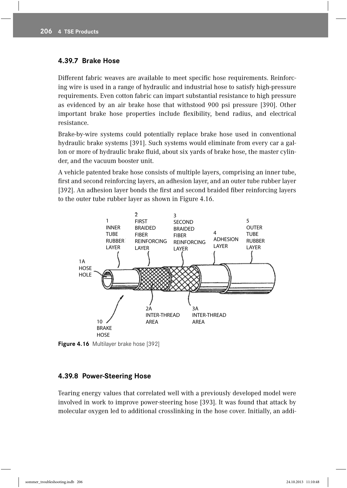#### **4.39.7 Brake Hose**

Different fabric weaves are available to meet specific hose requirements. Reinforcing wire is used in a range of hydraulic and industrial hose to satisfy high-pressure requirements. Even cotton fabric can impart substantial resistance to high pressure as evidenced by an air brake hose that withstood 900 psi pressure [390]. Other important brake hose properties include flexibility, bend radius, and electrical resistance.

Brake-by-wire systems could potentially replace brake hose used in conventional hydraulic brake systems [391]. Such systems would eliminate from every car a gallon or more of hydraulic brake fluid, about six yards of brake hose, the master cylinder, and the vacuum booster unit.

A vehicle patented brake hose consists of multiple layers, comprising an inner tube, first and second reinforcing layers, an adhesion layer, and an outer tube rubber layer [392]. An adhesion layer bonds the first and second braided fiber reinforcing layers to the outer tube rubber layer as shown in Figure 4.16.



**Figure 4.16** Multilayer brake hose [392]

#### **4.39.8 Power-Steering Hose**

Tearing energy values that correlated well with a previously developed model were involved in work to improve power-steering hose [393]. It was found that attack by molecular oxygen led to additional crosslinking in the hose cover. Initially, an addi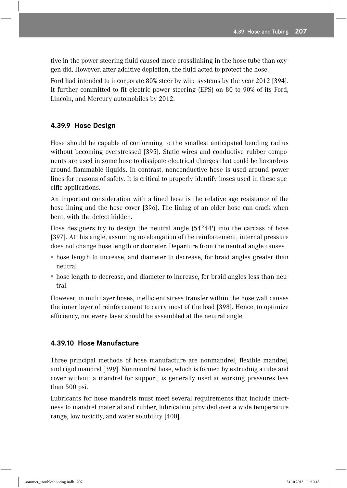tive in the power-steering fluid caused more crosslinking in the hose tube than oxygen did. However, after additive depletion, the fluid acted to protect the hose.

Ford had intended to incorporate 80% steer-by-wire systems by the year 2012 [394]. It further committed to fit electric power steering (EPS) on 80 to 90% of its Ford, Lincoln, and Mercury automobiles by 2012.

### **4.39.9 Hose Design**

Hose should be capable of conforming to the smallest anticipated bending radius without becoming overstressed [395]. Static wires and conductive rubber components are used in some hose to dissipate electrical charges that could be hazardous around flammable liquids. In contrast, nonconductive hose is used around power lines for reasons of safety. It is critical to properly identify hoses used in these specific applications.

An important consideration with a lined hose is the relative age resistance of the hose lining and the hose cover [396]. The lining of an older hose can crack when bent, with the defect hidden.

Hose designers try to design the neutral angle (54°44') into the carcass of hose [397]. At this angle, assuming no elongation of the reinforcement, internal pressure does not change hose length or diameter. Departure from the neutral angle causes

- " hose length to increase, and diameter to decrease, for braid angles greater than neutral
- " hose length to decrease, and diameter to increase, for braid angles less than neutral.

However, in multilayer hoses, inefficient stress transfer within the hose wall causes the inner layer of reinforcement to carry most of the load [398]. Hence, to optimize efficiency, not every layer should be assembled at the neutral angle.

#### **4.39.10 Hose Manufacture**

Three principal methods of hose manufacture are nonmandrel, flexible mandrel, and rigid mandrel [399]. Nonmandrel hose, which is formed by extruding a tube and cover without a mandrel for support, is generally used at working pressures less than 500 psi.

Lubricants for hose mandrels must meet several requirements that include inertness to mandrel material and rubber, lubrication provided over a wide temperature range, low toxicity, and water solubility [400].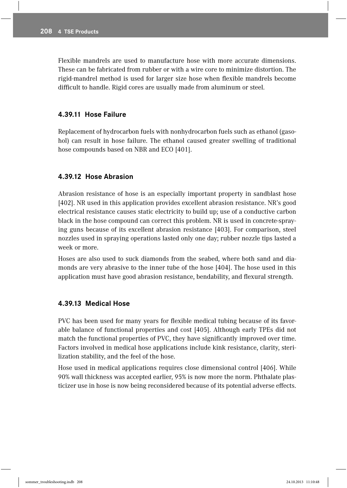Flexible mandrels are used to manufacture hose with more accurate dimensions. These can be fabricated from rubber or with a wire core to minimize distortion. The rigid-mandrel method is used for larger size hose when flexible mandrels become difficult to handle. Rigid cores are usually made from aluminum or steel.

#### **4.39.11 Hose Failure**

Replacement of hydrocarbon fuels with nonhydrocarbon fuels such as ethanol (gasohol) can result in hose failure. The ethanol caused greater swelling of traditional hose compounds based on NBR and ECO [401].

#### **4.39.12 Hose Abrasion**

Abrasion resistance of hose is an especially important property in sandblast hose [402]. NR used in this application provides excellent abrasion resistance. NR's good electrical resistance causes static electricity to build up; use of a conductive carbon black in the hose compound can correct this problem. NR is used in concrete-spraying guns because of its excellent abrasion resistance [403]. For comparison, steel nozzles used in spraying operations lasted only one day; rubber nozzle tips lasted a week or more.

Hoses are also used to suck diamonds from the seabed, where both sand and diamonds are very abrasive to the inner tube of the hose [404]. The hose used in this application must have good abrasion resistance, bendability, and flexural strength.

#### **4.39.13 Medical Hose**

PVC has been used for many years for flexible medical tubing because of its favorable balance of functional properties and cost [405]. Although early TPEs did not match the functional properties of PVC, they have significantly improved over time. Factors involved in medical hose applications include kink resistance, clarity, sterilization stability, and the feel of the hose.

Hose used in medical applications requires close dimensional control [406]. While 90% wall thickness was accepted earlier, 95% is now more the norm. Phthalate plasticizer use in hose is now being reconsidered because of its potential adverse effects.